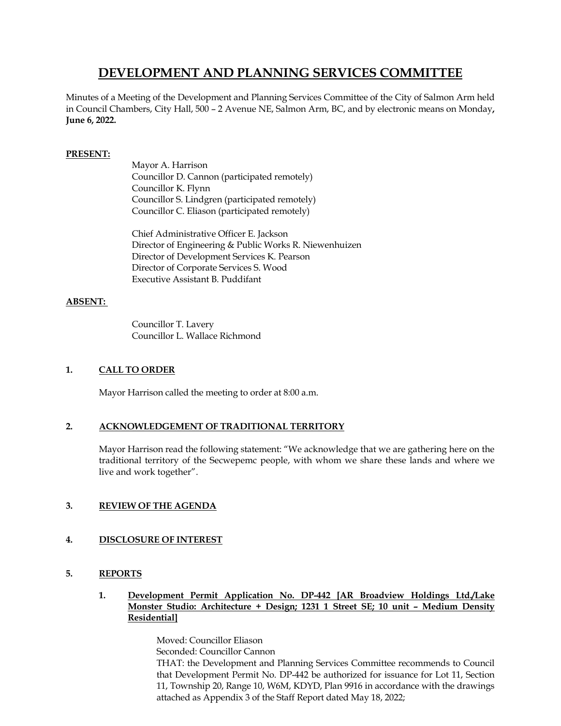# **DEVELOPMENT AND PLANNING SERVICES COMMITTEE**

Minutes of a Meeting of the Development and Planning Services Committee of the City of Salmon Arm held in Council Chambers, City Hall, 500 – 2 Avenue NE, Salmon Arm, BC, and by electronic means on Monday**, June 6, 2022.**

## **PRESENT:**

Mayor A. Harrison Councillor D. Cannon (participated remotely) Councillor K. Flynn Councillor S. Lindgren (participated remotely) Councillor C. Eliason (participated remotely)

Chief Administrative Officer E. Jackson Director of Engineering & Public Works R. Niewenhuizen Director of Development Services K. Pearson Director of Corporate Services S. Wood Executive Assistant B. Puddifant

## **ABSENT:**

Councillor T. Lavery Councillor L. Wallace Richmond

## **1. CALL TO ORDER**

Mayor Harrison called the meeting to order at 8:00 a.m.

## **2. ACKNOWLEDGEMENT OF TRADITIONAL TERRITORY**

Mayor Harrison read the following statement: "We acknowledge that we are gathering here on the traditional territory of the Secwepemc people, with whom we share these lands and where we live and work together".

## **3. REVIEW OF THE AGENDA**

## **4. DISCLOSURE OF INTEREST**

## **5. REPORTS**

**1. Development Permit Application No. DP-442 [AR Broadview Holdings Ltd./Lake Monster Studio: Architecture + Design; 1231 1 Street SE; 10 unit – Medium Density Residential]**

> Moved: Councillor Eliason Seconded: Councillor Cannon THAT: the Development and Planning Services Committee recommends to Council that Development Permit No. DP-442 be authorized for issuance for Lot 11, Section 11, Township 20, Range 10, W6M, KDYD, Plan 9916 in accordance with the drawings attached as Appendix 3 of the Staff Report dated May 18, 2022;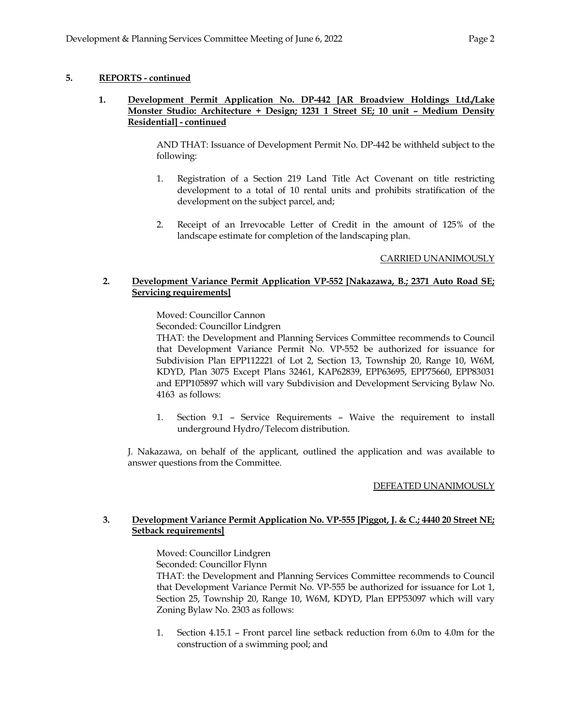## **5. REPORTS - continued**

### **1. Development Permit Application No. DP-442 [AR Broadview Holdings Ltd./Lake Monster Studio: Architecture + Design; 1231 1 Street SE; 10 unit – Medium Density Residential] - continued**

AND THAT: Issuance of Development Permit No. DP-442 be withheld subject to the following:

- 1. Registration of a Section 219 Land Title Act Covenant on title restricting development to a total of 10 rental units and prohibits stratification of the development on the subject parcel, and;
- 2. Receipt of an Irrevocable Letter of Credit in the amount of 125% of the landscape estimate for completion of the landscaping plan.

### CARRIED UNANIMOUSLY

### **2. Development Variance Permit Application VP-552 [Nakazawa, B.; 2371 Auto Road SE; Servicing requirements]**

Moved: Councillor Cannon

Seconded: Councillor Lindgren

THAT: the Development and Planning Services Committee recommends to Council that Development Variance Permit No. VP-552 be authorized for issuance for Subdivision Plan EPP112221 of Lot 2, Section 13, Township 20, Range 10, W6M, KDYD, Plan 3075 Except Plans 32461, KAP62839, EPP63695, EPP75660, EPP83031 and EPP105897 which will vary Subdivision and Development Servicing Bylaw No. 4163 as follows:

1. Section 9.1 – Service Requirements – Waive the requirement to install underground Hydro/Telecom distribution.

J. Nakazawa, on behalf of the applicant, outlined the application and was available to answer questions from the Committee.

#### DEFEATED UNANIMOUSLY

### **3. Development Variance Permit Application No. VP-555 [Piggot, J. & C.; 4440 20 Street NE; Setback requirements]**

Moved: Councillor Lindgren

Seconded: Councillor Flynn

THAT: the Development and Planning Services Committee recommends to Council that Development Variance Permit No. VP-555 be authorized for issuance for Lot 1, Section 25, Township 20, Range 10, W6M, KDYD, Plan EPP53097 which will vary Zoning Bylaw No. 2303 as follows:

1. Section 4.15.1 – Front parcel line setback reduction from 6.0m to 4.0m for the construction of a swimming pool; and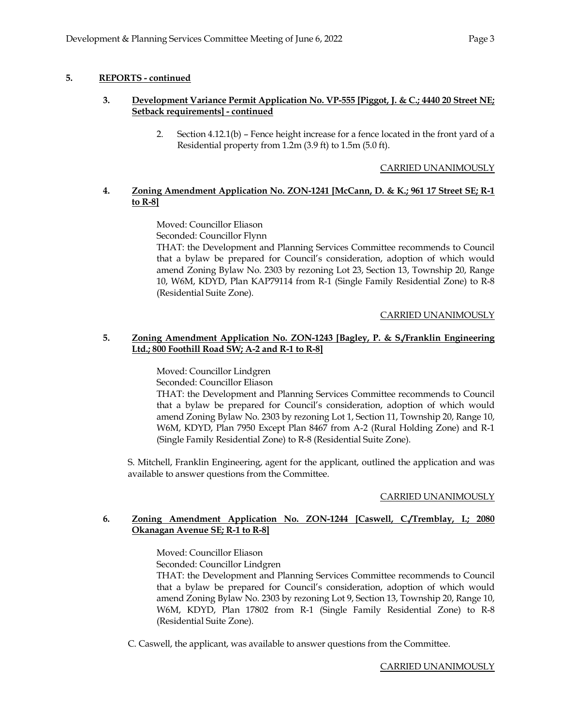## **5. REPORTS - continued**

## **3. Development Variance Permit Application No. VP-555 [Piggot, J. & C.; 4440 20 Street NE; Setback requirements] - continued**

2. Section 4.12.1(b) – Fence height increase for a fence located in the front yard of a Residential property from 1.2m (3.9 ft) to 1.5m (5.0 ft).

### CARRIED UNANIMOUSLY

# **4. Zoning Amendment Application No. ZON-1241 [McCann, D. & K.; 961 17 Street SE; R-1 to R-8]**

Moved: Councillor Eliason

Seconded: Councillor Flynn

THAT: the Development and Planning Services Committee recommends to Council that a bylaw be prepared for Council's consideration, adoption of which would amend Zoning Bylaw No. 2303 by rezoning Lot 23, Section 13, Township 20, Range 10, W6M, KDYD, Plan KAP79114 from R-1 (Single Family Residential Zone) to R-8 (Residential Suite Zone).

### CARRIED UNANIMOUSLY

#### **5. Zoning Amendment Application No. ZON-1243 [Bagley, P. & S./Franklin Engineering Ltd.; 800 Foothill Road SW; A-2 and R-1 to R-8]**

Moved: Councillor Lindgren

Seconded: Councillor Eliason

THAT: the Development and Planning Services Committee recommends to Council that a bylaw be prepared for Council's consideration, adoption of which would amend Zoning Bylaw No. 2303 by rezoning Lot 1, Section 11, Township 20, Range 10, W6M, KDYD, Plan 7950 Except Plan 8467 from A-2 (Rural Holding Zone) and R-1 (Single Family Residential Zone) to R-8 (Residential Suite Zone).

S. Mitchell, Franklin Engineering, agent for the applicant, outlined the application and was available to answer questions from the Committee.

## CARRIED UNANIMOUSLY

### **6. Zoning Amendment Application No. ZON-1244 [Caswell, C./Tremblay, I.; 2080 Okanagan Avenue SE; R-1 to R-8]**

Moved: Councillor Eliason

Seconded: Councillor Lindgren

THAT: the Development and Planning Services Committee recommends to Council that a bylaw be prepared for Council's consideration, adoption of which would amend Zoning Bylaw No. 2303 by rezoning Lot 9, Section 13, Township 20, Range 10, W6M, KDYD, Plan 17802 from R-1 (Single Family Residential Zone) to R-8 (Residential Suite Zone).

C. Caswell, the applicant, was available to answer questions from the Committee.